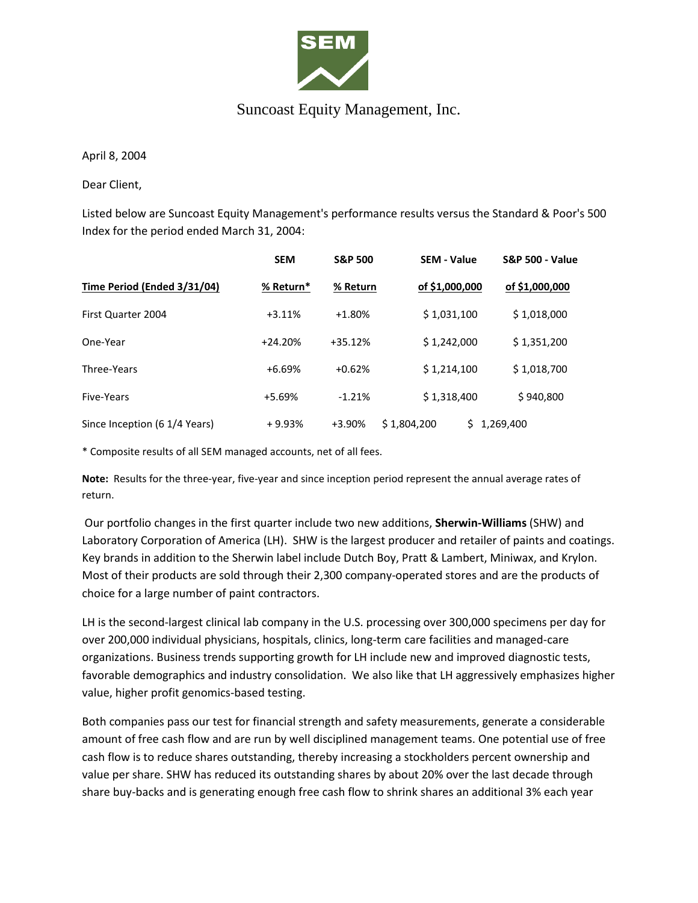

## Suncoast Equity Management, Inc.

April 8, 2004

Dear Client,

Listed below are Suncoast Equity Management's performance results versus the Standard & Poor's 500 Index for the period ended March 31, 2004:

|                               | <b>SEM</b> | <b>S&amp;P 500</b> | <b>SEM - Value</b> | <b>S&amp;P 500 - Value</b> |
|-------------------------------|------------|--------------------|--------------------|----------------------------|
| Time Period (Ended 3/31/04)   | % Return*  | % Return           | of \$1,000,000     | of \$1,000,000             |
| First Quarter 2004            | $+3.11%$   | $+1.80%$           | \$1,031,100        | \$1,018,000                |
| One-Year                      | $+24.20%$  | $+35.12%$          | \$1,242,000        | \$1,351,200                |
| Three-Years                   | $+6.69%$   | $+0.62%$           | \$1,214,100        | \$1,018,700                |
| Five-Years                    | +5.69%     | $-1.21%$           | \$1,318,400        | \$940,800                  |
| Since Inception (6 1/4 Years) | $+9.93%$   | +3.90%             | \$1,804,200<br>S.  | 1,269,400                  |

\* Composite results of all SEM managed accounts, net of all fees.

**Note:** Results for the three-year, five-year and since inception period represent the annual average rates of return.

Our portfolio changes in the first quarter include two new additions, **Sherwin-Williams** (SHW) and Laboratory Corporation of America (LH). SHW is the largest producer and retailer of paints and coatings. Key brands in addition to the Sherwin label include Dutch Boy, Pratt & Lambert, Miniwax, and Krylon. Most of their products are sold through their 2,300 company-operated stores and are the products of choice for a large number of paint contractors.

LH is the second-largest clinical lab company in the U.S. processing over 300,000 specimens per day for over 200,000 individual physicians, hospitals, clinics, long-term care facilities and managed-care organizations. Business trends supporting growth for LH include new and improved diagnostic tests, favorable demographics and industry consolidation. We also like that LH aggressively emphasizes higher value, higher profit genomics-based testing.

Both companies pass our test for financial strength and safety measurements, generate a considerable amount of free cash flow and are run by well disciplined management teams. One potential use of free cash flow is to reduce shares outstanding, thereby increasing a stockholders percent ownership and value per share. SHW has reduced its outstanding shares by about 20% over the last decade through share buy-backs and is generating enough free cash flow to shrink shares an additional 3% each year